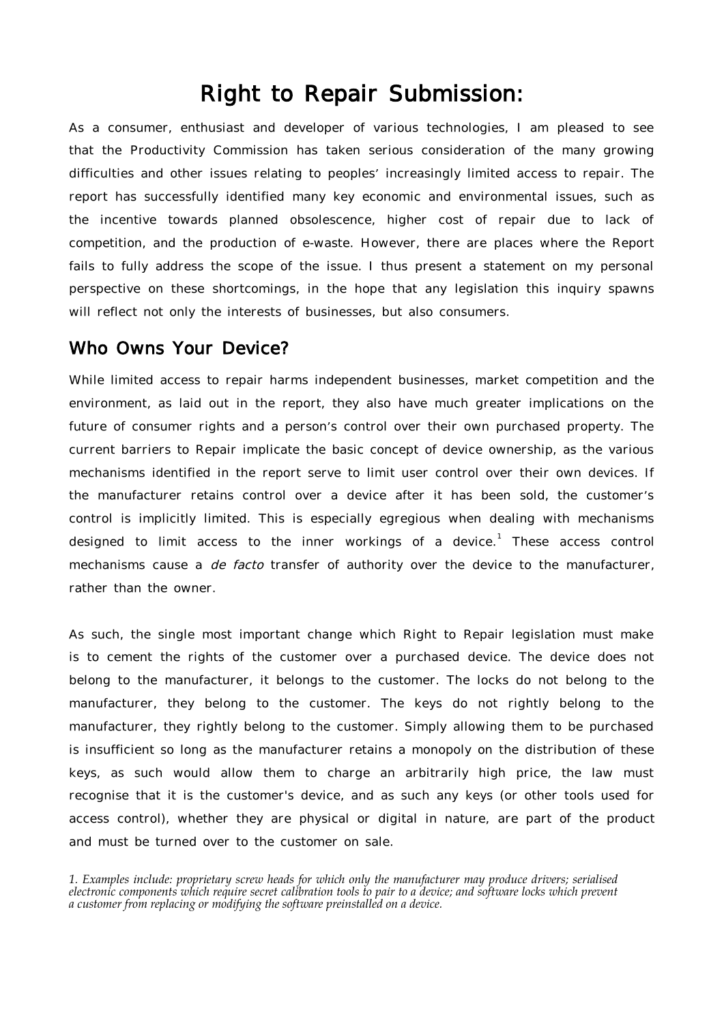# Right to Repair Submission:

As a consumer, enthusiast and developer of various technologies, I am pleased to see that the Productivity Commission has taken serious consideration of the many growing difficulties and other issues relating to peoples' increasingly limited access to repair. The report has successfully identified many key economic and environmental issues, such as the incentive towards planned obsolescence, higher cost of repair due to lack of competition, and the production of e-waste. However, there are places where the Report fails to fully address the scope of the issue. I thus present a statement on my personal perspective on these shortcomings, in the hope that any legislation this inquiry spawns will reflect not only the interests of businesses, but also consumers.

#### Who Owns Your Device?

While limited access to repair harms independent businesses, market competition and the environment, as laid out in the report, they also have much greater implications on the future of consumer rights and a person's control over their own purchased property. The current barriers to Repair implicate the basic concept of device ownership, as the various mechanisms identified in the report serve to limit user control over their own devices. If the manufacturer retains control over a device after it has been sold, the customer's control is implicitly limited. This is especially egregious when dealing with mechanisms designed to limit access to the inner workings of a device.<sup>1</sup> These access control mechanisms cause a *de facto* transfer of authority over the device to the manufacturer, rather than the owner.

As such, the single most important change which Right to Repair legislation must make is to cement the rights of the customer over a purchased device. The device does not belong to the manufacturer, it belongs to the customer. The locks do not belong to the manufacturer, they belong to the customer. The keys do not rightly belong to the manufacturer, they rightly belong to the customer. Simply allowing them to be purchased is insufficient so long as the manufacturer retains a monopoly on the distribution of these keys, as such would allow them to charge an arbitrarily high price, the law must recognise that it is the customer's device, and as such any keys (or other tools used for access control), whether they are physical or digital in nature, are part of the product and must be turned over to the customer on sale.

*1. Examples include: proprietary screw heads for which only the manufacturer may produce drivers; serialised electronic components which require secret calibration tools to pair to a device; and software locks which prevent a customer from replacing or modifying the software preinstalled on a device.*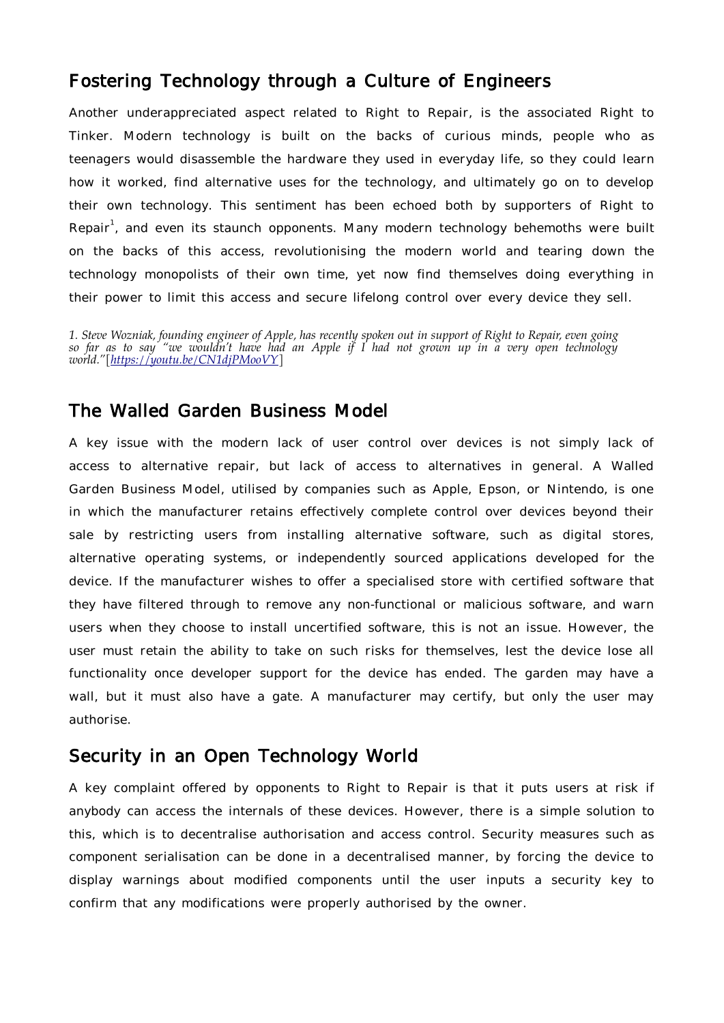### Fostering Technology through a Culture of Engineers

Another underappreciated aspect related to Right to Repair, is the associated Right to Tinker. Modern technology is built on the backs of curious minds, people who as teenagers would disassemble the hardware they used in everyday life, so they could learn how it worked, find alternative uses for the technology, and ultimately go on to develop their own technology. This sentiment has been echoed both by supporters of Right to Repair<sup>1</sup>, and even its staunch opponents. Many modern technology behemoths were built on the backs of this access, revolutionising the modern world and tearing down the technology monopolists of their own time, yet now find themselves doing everything in their power to limit this access and secure lifelong control over every device they sell.

*1. Steve Wozniak, founding engineer of Apple, has recently spoken out in support of Right to Repair, even going so far as to say "we wouldn't have had an Apple if I had not grown up in a very open technology world."[\[https://youtu.be/CN1djPMooVY](https://youtu.be/CN1djPMooVY)]*

#### The Walled Garden Business Model

A key issue with the modern lack of user control over devices is not simply lack of access to alternative repair, but lack of access to alternatives in general. A Walled Garden Business Model, utilised by companies such as Apple, Epson, or Nintendo, is one in which the manufacturer retains effectively complete control over devices beyond their sale by restricting users from installing alternative software, such as digital stores, alternative operating systems, or independently sourced applications developed for the device. If the manufacturer wishes to offer a specialised store with certified software that they have filtered through to remove any non-functional or malicious software, and warn users when they choose to install uncertified software, this is not an issue. However, the user must retain the ability to take on such risks for themselves, lest the device lose all functionality once developer support for the device has ended. The garden may have a wall, but it must also have a gate. A manufacturer may certify, but only the user may authorise.

#### Security in an Open Technology World

A key complaint offered by opponents to Right to Repair is that it puts users at risk if anybody can access the internals of these devices. However, there is a simple solution to this, which is to decentralise authorisation and access control. Security measures such as component serialisation can be done in a decentralised manner, by forcing the device to display warnings about modified components until the user inputs a security key to confirm that any modifications were properly authorised by the owner.